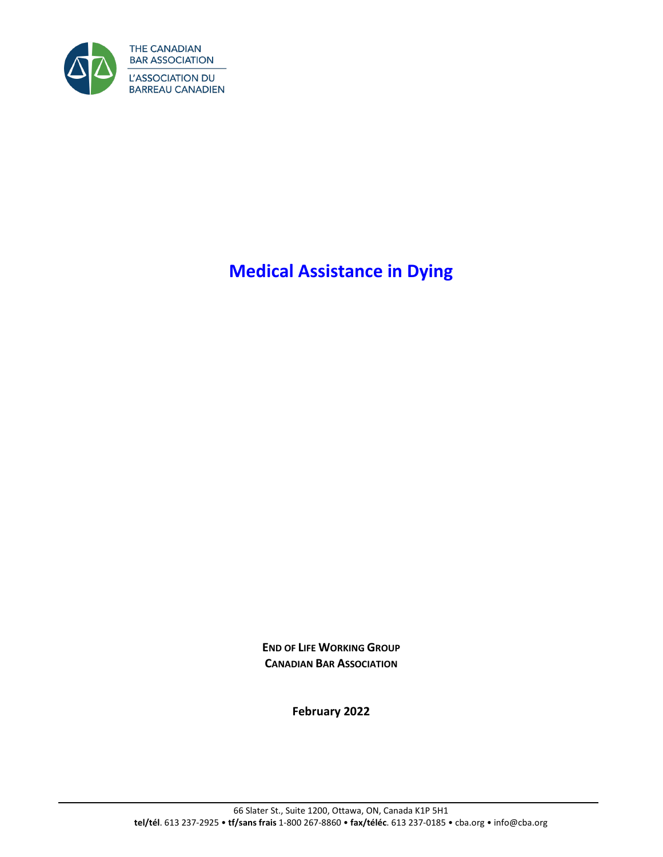

**Medical Assistance in Dying**

**END OF LIFE WORKING GROUP CANADIAN BAR ASSOCIATION**

**February 2022**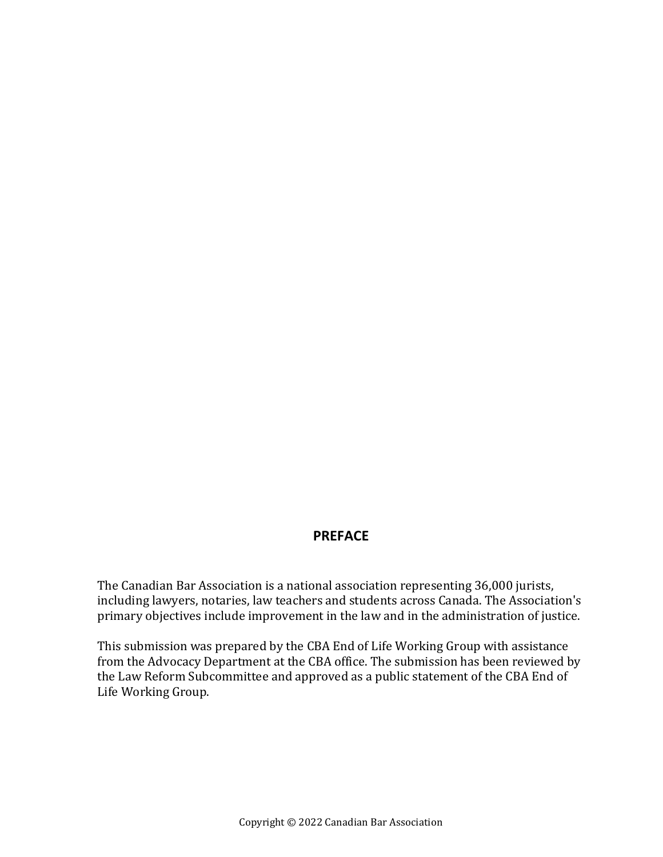#### **PREFACE**

The Canadian Bar Association is a national association representing 36,000 jurists, including lawyers, notaries, law teachers and students across Canada. The Association's primary objectives include improvement in the law and in the administration of justice.

This submission was prepared by the CBA End of Life Working Group with assistance from the Advocacy Department at the CBA office. The submission has been reviewed by the Law Reform Subcommittee and approved as a public statement of the CBA End of Life Working Group.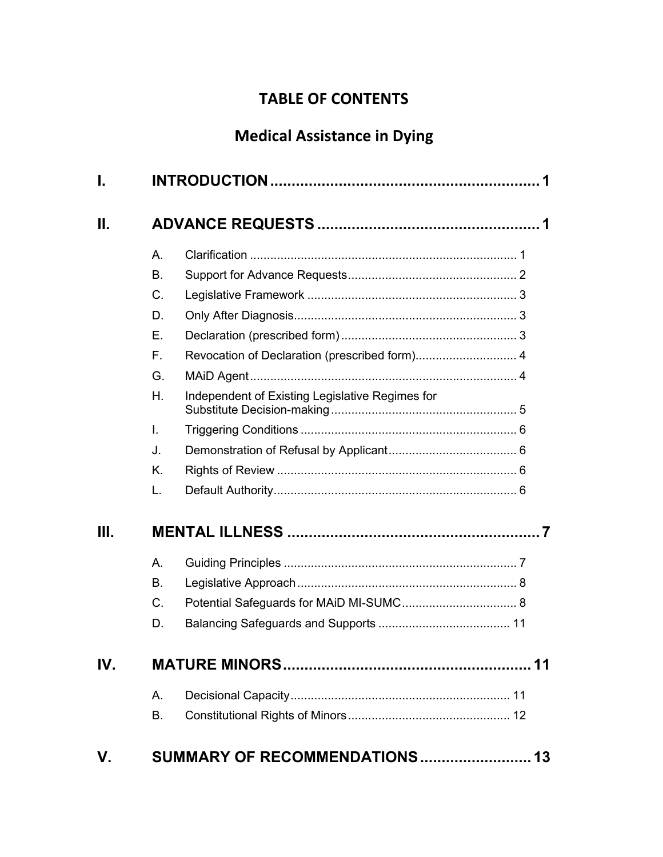# **TABLE OF CONTENTS**

# **Medical Assistance in Dying**

| I.              |    |                                                 |  |
|-----------------|----|-------------------------------------------------|--|
| $\mathbf{II}$ . |    |                                                 |  |
|                 | А. |                                                 |  |
|                 | В. |                                                 |  |
|                 | C. |                                                 |  |
|                 | D. |                                                 |  |
|                 | Ε. |                                                 |  |
|                 | F. | Revocation of Declaration (prescribed form) 4   |  |
|                 | G. |                                                 |  |
|                 | Η. | Independent of Existing Legislative Regimes for |  |
|                 | L. |                                                 |  |
|                 | J. |                                                 |  |
|                 | K. |                                                 |  |
|                 | L. |                                                 |  |
| III.            |    |                                                 |  |
|                 | А. |                                                 |  |
|                 | В. |                                                 |  |
|                 | C. |                                                 |  |
|                 | D. |                                                 |  |
| IV.             |    |                                                 |  |
|                 | А. |                                                 |  |
|                 | В. |                                                 |  |
| V.              |    | SUMMARY OF RECOMMENDATIONS 13                   |  |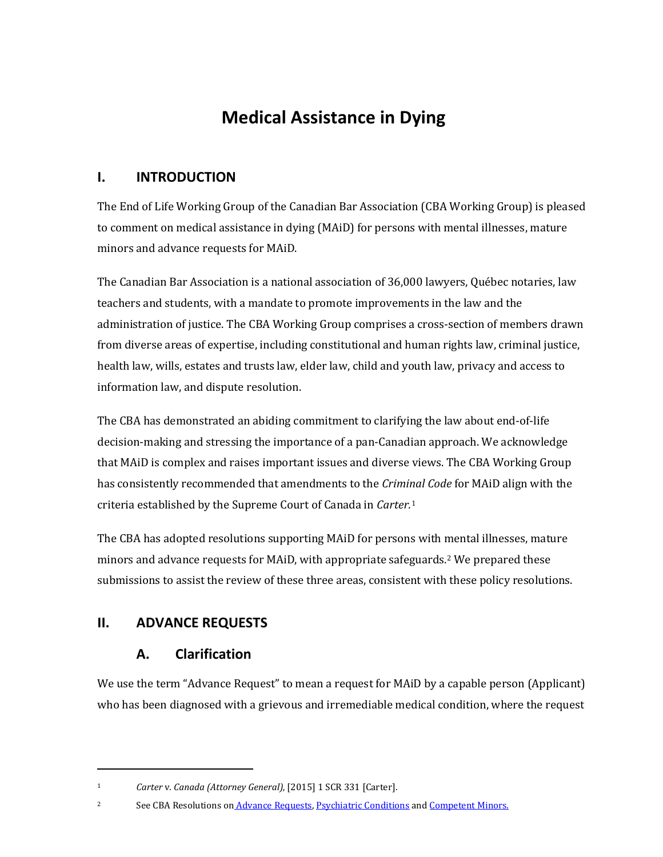# **Medical Assistance in Dying**

#### **I. INTRODUCTION**

The End of Life Working Group of the Canadian Bar Association (CBA Working Group) is pleased to comment on medical assistance in dying (MAiD) for persons with mental illnesses, mature minors and advance requests for MAiD.

The Canadian Bar Association is a national association of 36,000 lawyers, Québec notaries, law teachers and students, with a mandate to promote improvements in the law and the administration of justice. The CBA Working Group comprises a cross-section of members drawn from diverse areas of expertise, including constitutional and human rights law, criminal justice, health law, wills, estates and trusts law, elder law, child and youth law, privacy and access to information law, and dispute resolution.

The CBA has demonstrated an abiding commitment to clarifying the law about end-of-life decision-making and stressing the importance of a pan-Canadian approach. We acknowledge that MAiD is complex and raises important issues and diverse views. The CBA Working Group has consistently recommended that amendments to the *Criminal Code* for MAiD align with the criteria established by the Supreme Court of Canada in *Carter.*<sup>1</sup>

The CBA has adopted resolutions supporting MAiD for persons with mental illnesses, mature minors and advance requests for MAiD, with appropriate safeguards.2 We prepared these submissions to assist the review of these three areas, consistent with these policy resolutions.

#### **II. ADVANCE REQUESTS**

#### **A. Clarification**

We use the term "Advance Request" to mean a request for MAiD by a capable person (Applicant) who has been diagnosed with a grievous and irremediable medical condition, where the request

2 See CBA Resolutions o[n](http://www.cba.org/Our-Work/Resolutions/Resolutions/2016/Advance-Requests-for-Medical-Assistance-in-Dying) [Advance Requests,](http://www.cba.org/Our-Work/Resolutions/Resolutions/2016/Advance-Requests-for-Medical-Assistance-in-Dying) [Psychiatric Conditions](http://www.cba.org/Our-Work/Resolutions/Resolutions/2016/Medical-Assistance-in-Dying-and-Psychiatric-Condit) an[d Competent Minors.](http://www.cba.org/Our-Work/Resolutions/Resolutions/2016/Medical-Assistance-in-Dying-for-Competent-Minors)

<sup>1</sup> *Carter* v. *Canada (Attorney General),* [2015] 1 SCR 331 [Carter].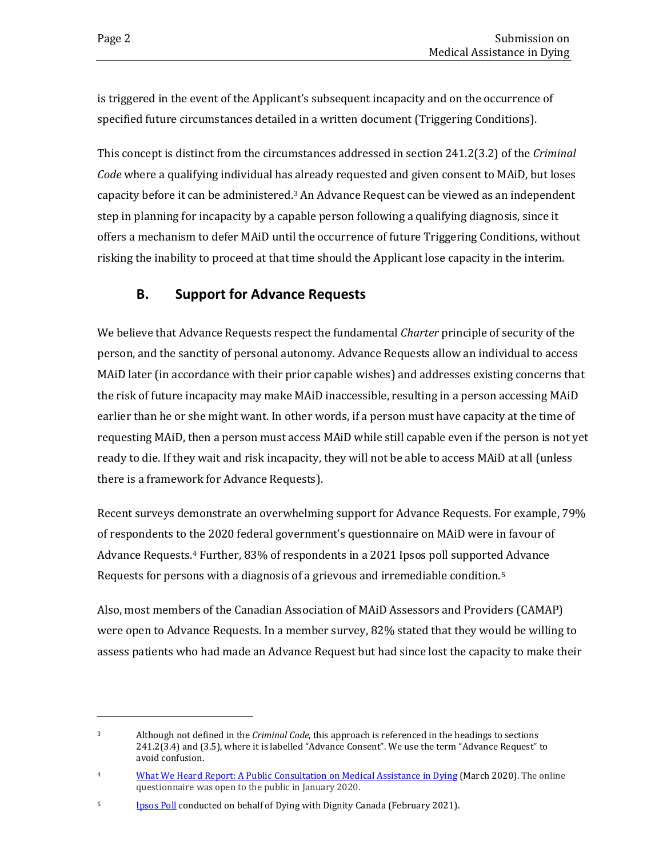is triggered in the event of the Applicant's subsequent incapacity and on the occurrence of specified future circumstances detailed in a written document (Triggering Conditions).

This concept is distinct from the circumstances addressed in section 241.2(3.2) of the *Criminal Code* where a qualifying individual has already requested and given consent to MAiD, but loses capacity before it can be administered.3 An Advance Request can be viewed as an independent step in planning for incapacity by a capable person following a qualifying diagnosis, since it offers a mechanism to defer MAiD until the occurrence of future Triggering Conditions, without risking the inability to proceed at that time should the Applicant lose capacity in the interim.

#### **B. Support for Advance Requests**

We believe that Advance Requests respect the fundamental *Charter* principle of security of the person, and the sanctity of personal autonomy. Advance Requests allow an individual to access MAiD later (in accordance with their prior capable wishes) and addresses existing concerns that the risk of future incapacity may make MAiD inaccessible, resulting in a person accessing MAiD earlier than he or she might want. In other words, if a person must have capacity at the time of requesting MAiD, then a person must access MAiD while still capable even if the person is not yet ready to die. If they wait and risk incapacity, they will not be able to access MAiD at all (unless there is a framework for Advance Requests).

Recent surveys demonstrate an overwhelming support for Advance Requests. For example, 79% of respondents to the 2020 federal government's questionnaire on MAiD were in favour of Advance Requests.4 Further, 83% of respondents in a 2021 Ipsos poll supported Advance Requests for persons with a diagnosis of a grievous and irremediable condition.5

Also, most members of the Canadian Association of MAiD Assessors and Providers (CAMAP) were open to Advance Requests. In a member survey, 82% stated that they would be willing to assess patients who had made an Advance Request but had since lost the capacity to make their

<sup>3</sup> Although not defined in the *Criminal Code*, this approach is referenced in the headings to sections 241.2(3.4) and (3.5), where it is labelled "Advance Consent". We use the term "Advance Request" to avoid confusion.

<sup>&</sup>lt;sup>4</sup> [What We Heard Report: A Public Consultation on Medical Assistance in Dying](https://can01.safelinks.protection.outlook.com/?url=https%3A%2F%2Fwww.justice.gc.ca%2Feng%2Fcj-jp%2Fad-am%2Fwwh-cqnae%2Fp2.html%23s2-4&data=04%7C01%7Cmarcao%40CBA.org%7Ca049ba5afc9d46cdd58008d98ec03f60%7C62857f41bdb34f5dab05941ebe315f07%7C0%7C0%7C637697778618388665%7CUnknown%7CTWFpbGZsb3d8eyJWIjoiMC4wLjAwMDAiLCJQIjoiV2luMzIiLCJBTiI6Ik1haWwiLCJXVCI6Mn0%3D%7C1000&sdata=jrcGJNdCoGyn1DJ2sRRMVg8p%2BiXzGovArBZDqu3q3Yg%3D&reserved=0) (March 2020). The online questionnaire was open to the public in January 2020.

<sup>5</sup> [Ipsos Poll](https://www.ipsos.com/sites/default/files/ct/news/documents/2021-02/maid_in_canada-factum-2021-02-25-v1.pdf) conducted on behalf of Dying with Dignity Canada (February 2021).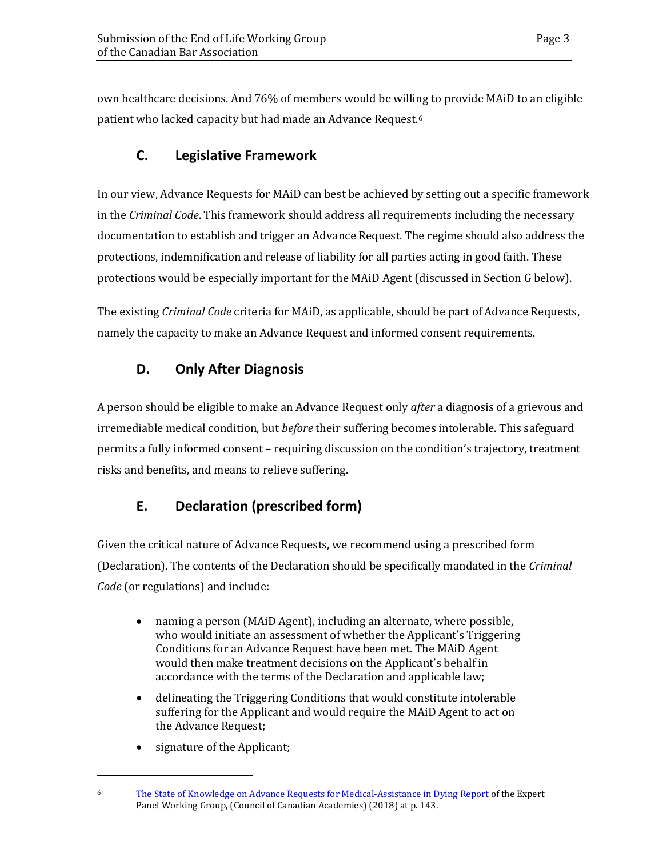own healthcare decisions. And 76% of members would be willing to provide MAiD to an eligible patient who lacked capacity but had made an Advance Request.6

# **C. Legislative Framework**

In our view, Advance Requests for MAiD can best be achieved by setting out a specific framework in the *Criminal Code*. This framework should address all requirements including the necessary documentation to establish and trigger an Advance Request. The regime should also address the protections, indemnification and release of liability for all parties acting in good faith. These protections would be especially important for the MAiD Agent (discussed in Section G below).

The existing *Criminal Code* criteria for MAiD, as applicable, should be part of Advance Requests, namely the capacity to make an Advance Request and informed consent requirements.

# **D. Only After Diagnosis**

A person should be eligible to make an Advance Request only *after* a diagnosis of a grievous and irremediable medical condition, but *before* their suffering becomes intolerable. This safeguard permits a fully informed consent – requiring discussion on the condition's trajectory, treatment risks and benefits, and means to relieve suffering.

# **E. Declaration (prescribed form)**

Given the critical nature of Advance Requests, we recommend using a prescribed form (Declaration). The contents of the Declaration should be specifically mandated in the *Criminal Code* (or regulations) and include:

- naming a person (MAiD Agent), including an alternate, where possible, who would initiate an assessment of whether the Applicant's Triggering Conditions for an Advance Request have been met. The MAiD Agent would then make treatment decisions on the Applicant's behalf in accordance with the terms of the Declaration and applicable law;
- delineating the Triggering Conditions that would constitute intolerable suffering for the Applicant and would require the MAiD Agent to act on the Advance Request;
- signature of the Applicant;

<sup>6</sup> [The State of Knowledge on Advance Requests for Medical-Assistance in Dying Report](https://can01.safelinks.protection.outlook.com/?url=https%3A%2F%2Fcca-reports.ca%2Fwp-content%2Fuploads%2F2019%2F02%2FThe-State-of-Knowledge-on-Advance-Requests-for-Medical-Assistance-in-Dying.pdf&data=04%7C01%7Cmarcao%40CBA.org%7C38f11b19df2e43b36cc708d98f7cc16a%7C62857f41bdb34f5dab05941ebe315f07%7C0%7C0%7C637698588263652741%7CUnknown%7CTWFpbGZsb3d8eyJWIjoiMC4wLjAwMDAiLCJQIjoiV2luMzIiLCJBTiI6Ik1haWwiLCJXVCI6Mn0%3D%7C1000&sdata=xFCyNVD%2BAGWj079UyMyHUwEWVxTGmmJTecGJODrhdZA%3D&reserved=0) of the Expert Panel Working Group, (Council of Canadian Academies) (2018) at p. 143.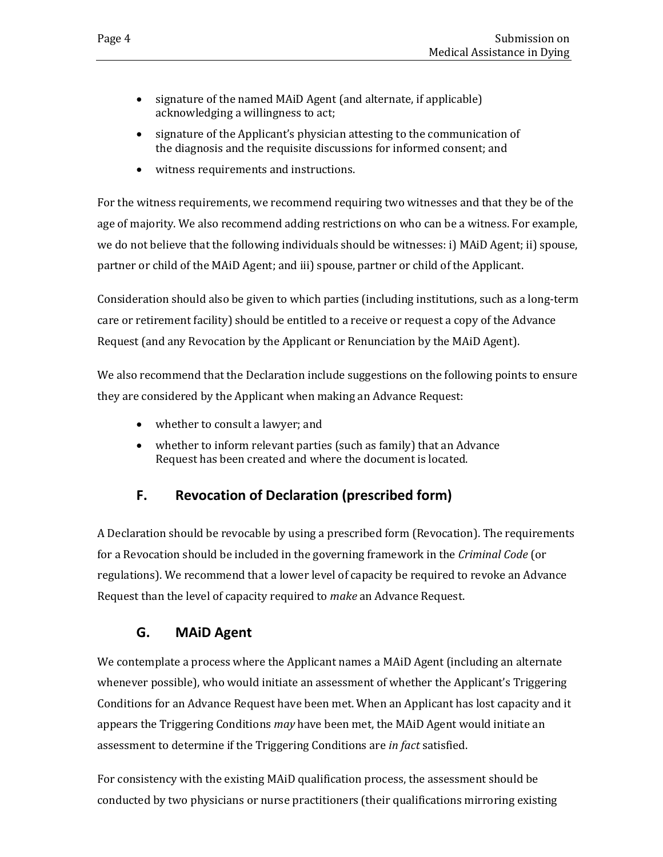- signature of the named MAiD Agent (and alternate, if applicable) acknowledging a willingness to act;
- signature of the Applicant's physician attesting to the communication of the diagnosis and the requisite discussions for informed consent; and
- witness requirements and instructions.

For the witness requirements, we recommend requiring two witnesses and that they be of the age of majority. We also recommend adding restrictions on who can be a witness. For example, we do not believe that the following individuals should be witnesses: i) MAiD Agent; ii) spouse, partner or child of the MAiD Agent; and iii) spouse, partner or child of the Applicant.

Consideration should also be given to which parties (including institutions, such as a long-term care or retirement facility) should be entitled to a receive or request a copy of the Advance Request (and any Revocation by the Applicant or Renunciation by the MAiD Agent).

We also recommend that the Declaration include suggestions on the following points to ensure they are considered by the Applicant when making an Advance Request:

- whether to consult a lawyer; and
- whether to inform relevant parties (such as family) that an Advance Request has been created and where the document is located.

# **F. Revocation of Declaration (prescribed form)**

A Declaration should be revocable by using a prescribed form (Revocation). The requirements for a Revocation should be included in the governing framework in the *Criminal Code* (or regulations). We recommend that a lower level of capacity be required to revoke an Advance Request than the level of capacity required to *make* an Advance Request.

# **G. MAiD Agent**

We contemplate a process where the Applicant names a MAiD Agent (including an alternate whenever possible), who would initiate an assessment of whether the Applicant's Triggering Conditions for an Advance Request have been met. When an Applicant has lost capacity and it appears the Triggering Conditions *may* have been met, the MAiD Agent would initiate an assessment to determine if the Triggering Conditions are *in fact* satisfied.

For consistency with the existing MAiD qualification process, the assessment should be conducted by two physicians or nurse practitioners (their qualifications mirroring existing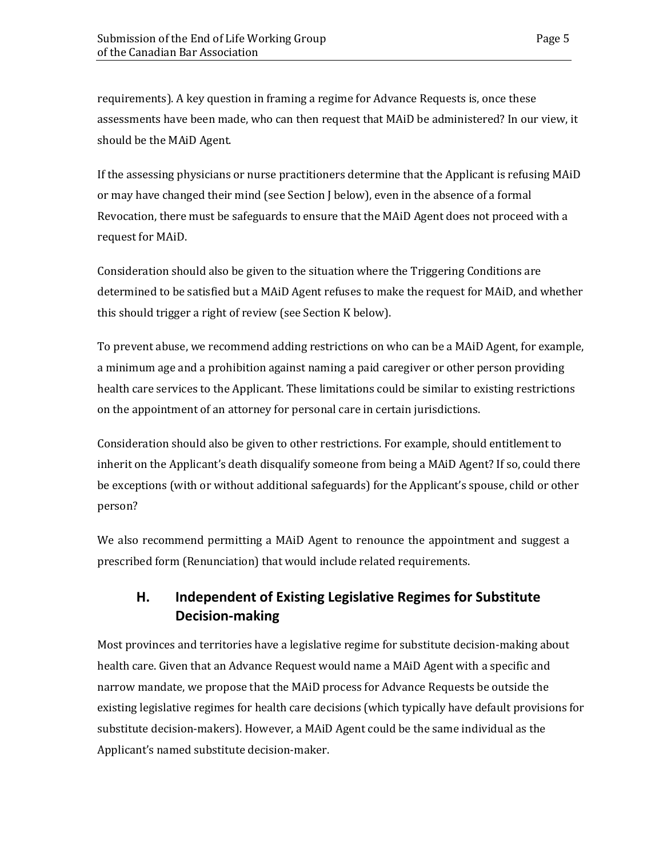requirements). A key question in framing a regime for Advance Requests is, once these assessments have been made, who can then request that MAiD be administered? In our view, it should be the MAiD Agent.

If the assessing physicians or nurse practitioners determine that the Applicant is refusing MAiD or may have changed their mind (see Section J below), even in the absence of a formal Revocation, there must be safeguards to ensure that the MAiD Agent does not proceed with a request for MAiD.

Consideration should also be given to the situation where the Triggering Conditions are determined to be satisfied but a MAiD Agent refuses to make the request for MAiD, and whether this should trigger a right of review (see Section K below).

To prevent abuse, we recommend adding restrictions on who can be a MAiD Agent, for example, a minimum age and a prohibition against naming a paid caregiver or other person providing health care services to the Applicant. These limitations could be similar to existing restrictions on the appointment of an attorney for personal care in certain jurisdictions.

Consideration should also be given to other restrictions. For example, should entitlement to inherit on the Applicant's death disqualify someone from being a MAiD Agent? If so, could there be exceptions (with or without additional safeguards) for the Applicant's spouse, child or other person?

We also recommend permitting a MAiD Agent to renounce the appointment and suggest a prescribed form (Renunciation) that would include related requirements.

# **H. Independent of Existing Legislative Regimes for Substitute Decision-making**

Most provinces and territories have a legislative regime for substitute decision-making about health care. Given that an Advance Request would name a MAiD Agent with a specific and narrow mandate, we propose that the MAiD process for Advance Requests be outside the existing legislative regimes for health care decisions (which typically have default provisions for substitute decision-makers). However, a MAiD Agent could be the same individual as the Applicant's named substitute decision-maker.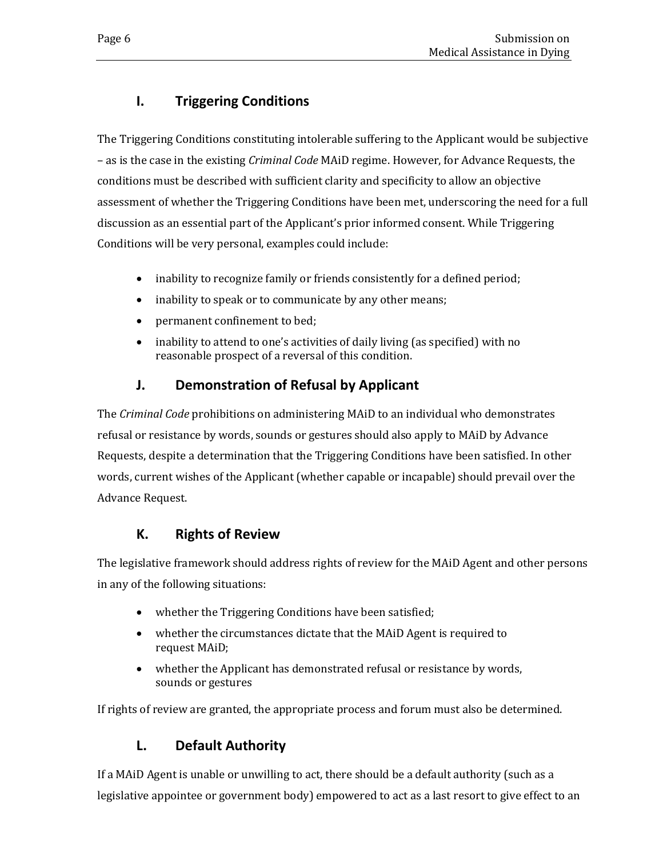# **I. Triggering Conditions**

The Triggering Conditions constituting intolerable suffering to the Applicant would be subjective – as is the case in the existing *Criminal Code* MAiD regime. However, for Advance Requests, the conditions must be described with sufficient clarity and specificity to allow an objective assessment of whether the Triggering Conditions have been met, underscoring the need for a full discussion as an essential part of the Applicant's prior informed consent. While Triggering Conditions will be very personal, examples could include:

- inability to recognize family or friends consistently for a defined period;
- inability to speak or to communicate by any other means;
- permanent confinement to bed;
- inability to attend to one's activities of daily living (as specified) with no reasonable prospect of a reversal of this condition.

# **J. Demonstration of Refusal by Applicant**

The *Criminal Code* prohibitions on administering MAiD to an individual who demonstrates refusal or resistance by words, sounds or gestures should also apply to MAiD by Advance Requests, despite a determination that the Triggering Conditions have been satisfied. In other words, current wishes of the Applicant (whether capable or incapable) should prevail over the Advance Request.

# **K. Rights of Review**

The legislative framework should address rights of review for the MAiD Agent and other persons in any of the following situations:

- whether the Triggering Conditions have been satisfied;
- whether the circumstances dictate that the MAiD Agent is required to request MAiD;
- whether the Applicant has demonstrated refusal or resistance by words, sounds or gestures

If rights of review are granted, the appropriate process and forum must also be determined.

# **L. Default Authority**

If a MAiD Agent is unable or unwilling to act, there should be a default authority (such as a legislative appointee or government body) empowered to act as a last resort to give effect to an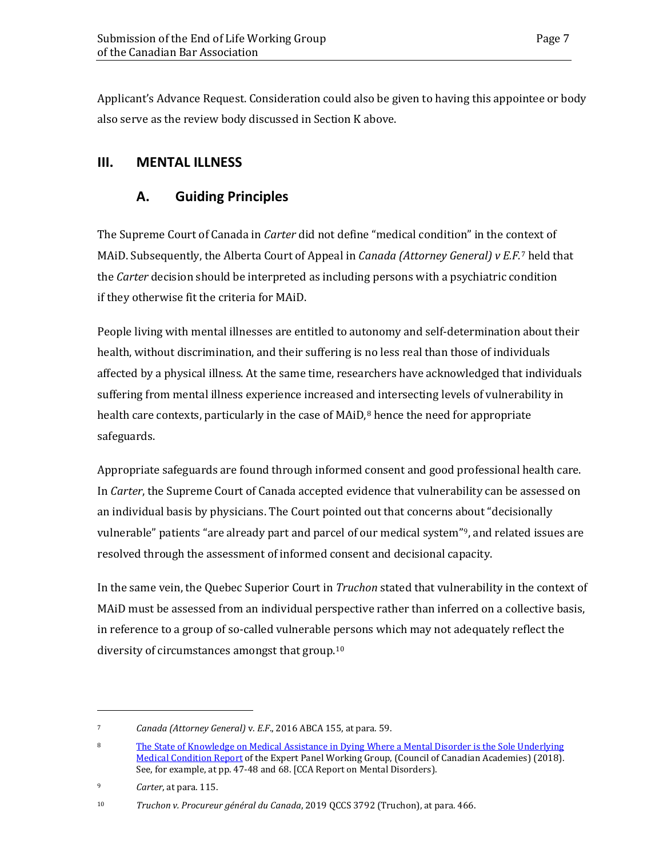Applicant's Advance Request. Consideration could also be given to having this appointee or body also serve as the review body discussed in Section K above.

# **III. MENTAL ILLNESS**

### **A. Guiding Principles**

The Supreme Court of Canada in *Carter* did not define "medical condition" in the context of MAiD. Subsequently, the Alberta Court of Appeal in *Canada (Attorney General) v E.F.*<sup>7</sup> held that the *Carter* decision should be interpreted as including persons with a psychiatric condition if they otherwise fit the criteria for MAiD.

People living with mental illnesses are entitled to autonomy and self-determination about their health, without discrimination, and their suffering is no less real than those of individuals affected by a physical illness. At the same time, researchers have acknowledged that individuals suffering from mental illness experience increased and intersecting levels of vulnerability in health care contexts, particularly in the case of  $MAiD<sub>l</sub><sup>8</sup>$  hence the need for appropriate safeguards.

Appropriate safeguards are found through informed consent and good professional health care. In *Carter*, the Supreme Court of Canada accepted evidence that vulnerability can be assessed on an individual basis by physicians. The Court pointed out that concerns about "decisionally vulnerable" patients "are already part and parcel of our medical system"9, and related issues are resolved through the assessment of informed consent and decisional capacity.

In the same vein, the Quebec Superior Court in *Truchon* stated that vulnerability in the context of MAiD must be assessed from an individual perspective rather than inferred on a collective basis, in reference to a group of so-called vulnerable persons which may not adequately reflect the diversity of circumstances amongst that group.10

<sup>7</sup> *Canada (Attorney General)* v. *E.F*., 2016 ABCA 155, at para. 59.

<sup>8</sup> [The State of Knowledge on Medical Assistance in Dying Where a Mental Disorder is the Sole Underlying](https://cca-reports.ca/wp-content/uploads/2018/12/The-State-of-Knowledge-on-Medical-Assistance-in-Dying-Where-a-Mental-Disorder-is-the-Sole-Underlying-Medical-Condition.pdf)  [Medical Condition Report](https://cca-reports.ca/wp-content/uploads/2018/12/The-State-of-Knowledge-on-Medical-Assistance-in-Dying-Where-a-Mental-Disorder-is-the-Sole-Underlying-Medical-Condition.pdf) of the Expert Panel Working Group, (Council of Canadian Academies) (2018). See, for example, at pp. 47-48 and 68. [CCA Report on Mental Disorders).

<sup>9</sup> *Carter*, at para. 115.

<sup>10</sup> *Truchon v. Procureur général du Canada*, 2019 QCCS 3792 (Truchon), at para. 466.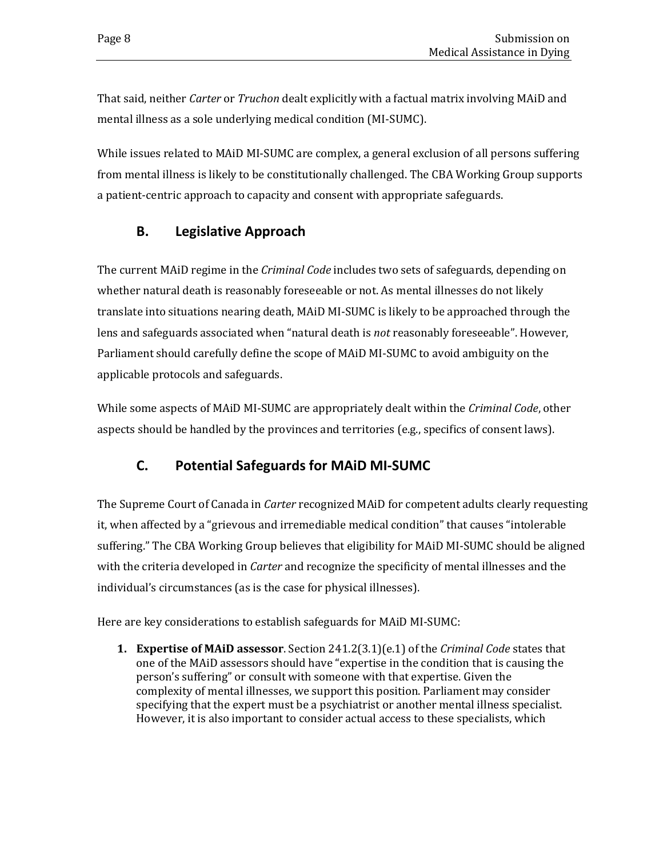That said, neither *Carter* or *Truchon* dealt explicitly with a factual matrix involving MAiD and mental illness as a sole underlying medical condition (MI-SUMC).

While issues related to MAiD MI-SUMC are complex, a general exclusion of all persons suffering from mental illness is likely to be constitutionally challenged. The CBA Working Group supports a patient-centric approach to capacity and consent with appropriate safeguards.

#### **B. Legislative Approach**

The current MAiD regime in the *Criminal Code* includes two sets of safeguards, depending on whether natural death is reasonably foreseeable or not. As mental illnesses do not likely translate into situations nearing death, MAiD MI-SUMC is likely to be approached through the lens and safeguards associated when "natural death is *not* reasonably foreseeable". However, Parliament should carefully define the scope of MAiD MI-SUMC to avoid ambiguity on the applicable protocols and safeguards.

While some aspects of MAiD MI-SUMC are appropriately dealt within the *Criminal Code*, other aspects should be handled by the provinces and territories (e.g., specifics of consent laws).

#### **C. Potential Safeguards for MAiD MI-SUMC**

The Supreme Court of Canada in *Carter* recognized MAiD for competent adults clearly requesting it, when affected by a "grievous and irremediable medical condition" that causes "intolerable suffering." The CBA Working Group believes that eligibility for MAiD MI-SUMC should be aligned with the criteria developed in *Carter* and recognize the specificity of mental illnesses and the individual's circumstances (as is the case for physical illnesses).

Here are key considerations to establish safeguards for MAiD MI-SUMC:

**1. Expertise of MAiD assessor**. Section 241.2(3.1)(e.1) of the *Criminal Code* states that one of the MAiD assessors should have "expertise in the condition that is causing the person's suffering" or consult with someone with that expertise. Given the complexity of mental illnesses, we support this position. Parliament may consider specifying that the expert must be a psychiatrist or another mental illness specialist. However, it is also important to consider actual access to these specialists, which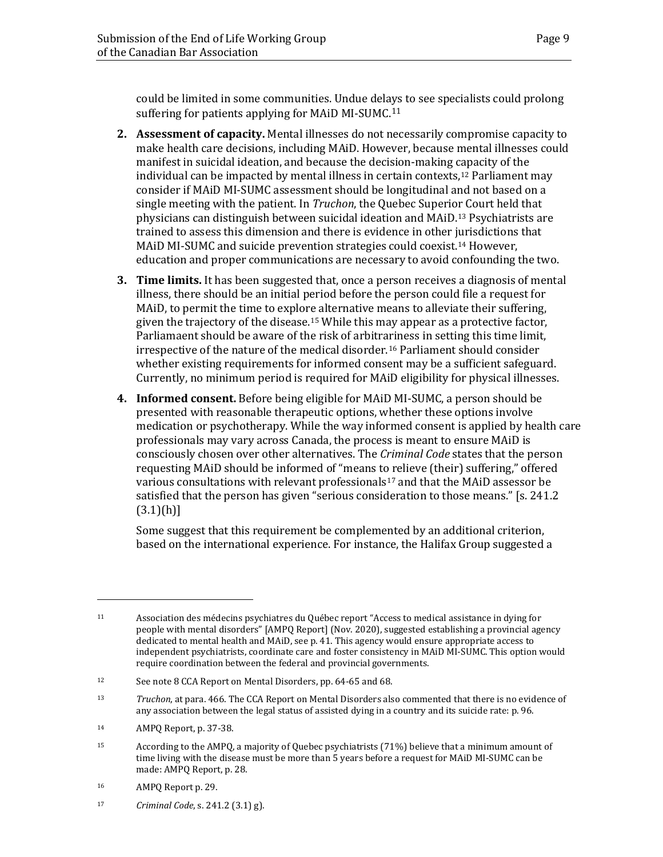could be limited in some communities. Undue delays to see specialists could prolong suffering for patients applying for MAiD MI-SUMC.<sup>11</sup>

- **2. Assessment of capacity.** Mental illnesses do not necessarily compromise capacity to make health care decisions, including MAiD. However, because mental illnesses could manifest in suicidal ideation, and because the decision-making capacity of the individual can be impacted by mental illness in certain contexts,12 Parliament may consider if MAiD MI-SUMC assessment should be longitudinal and not based on a single meeting with the patient. In *Truchon*, the Quebec Superior Court held that physicians can distinguish between suicidal ideation and MAiD.13 Psychiatrists are trained to assess this dimension and there is evidence in other jurisdictions that MAiD MI-SUMC and suicide prevention strategies could coexist.14 However, education and proper communications are necessary to avoid confounding the two.
- **3. Time limits.** It has been suggested that, once a person receives a diagnosis of mental illness, there should be an initial period before the person could file a request for MAiD, to permit the time to explore alternative means to alleviate their suffering, given the trajectory of the disease.15 While this may appear as a protective factor, Parliamaent should be aware of the risk of arbitrariness in setting this time limit, irrespective of the nature of the medical disorder.16 Parliament should consider whether existing requirements for informed consent may be a sufficient safeguard. Currently, no minimum period is required for MAiD eligibility for physical illnesses.
- **4. Informed consent.** Before being eligible for MAiD MI-SUMC, a person should be presented with reasonable therapeutic options, whether these options involve medication or psychotherapy. While the way informed consent is applied by health care professionals may vary across Canada, the process is meant to ensure MAiD is consciously chosen over other alternatives. The *Criminal Code* states that the person requesting MAiD should be informed of "means to relieve (their) suffering," offered various consultations with relevant professionals<sup>17</sup> and that the MAiD assessor be satisfied that the person has given "serious consideration to those means." [s. 241.2  $(3.1)(h)$ ]

Some suggest that this requirement be complemented by an additional criterion, based on the international experience. For instance, the Halifax Group suggested a

<sup>11</sup> Association des médecins psychiatres du Québec report "Access to medical assistance in dying for people with mental disorders" [AMPQ Report] (Nov. 2020), suggested establishing a provincial agency dedicated to mental health and MAiD, see p. 41. This agency would ensure appropriate access to independent psychiatrists, coordinate care and foster consistency in MAiD MI-SUMC. This option would require coordination between the federal and provincial governments.

<sup>12</sup> See note 8 CCA Report on Mental Disorders, pp. 64-65 and 68.

<sup>13</sup> *Truchon*, at para. 466. The CCA Report on Mental Disorders also commented that there is no evidence of any association between the legal status of assisted dying in a country and its suicide rate: p. 96.

<sup>14</sup> AMPQ Report, p. 37-38.

<sup>15</sup> According to the AMPQ, a majority of Quebec psychiatrists (71%) believe that a minimum amount of time living with the disease must be more than 5 years before a request for MAiD MI-SUMC can be made: AMPQ Report, p. 28.

<sup>16</sup> AMPQ Report p. 29.

<sup>17</sup> *Criminal Code*, s. 241.2 (3.1) g).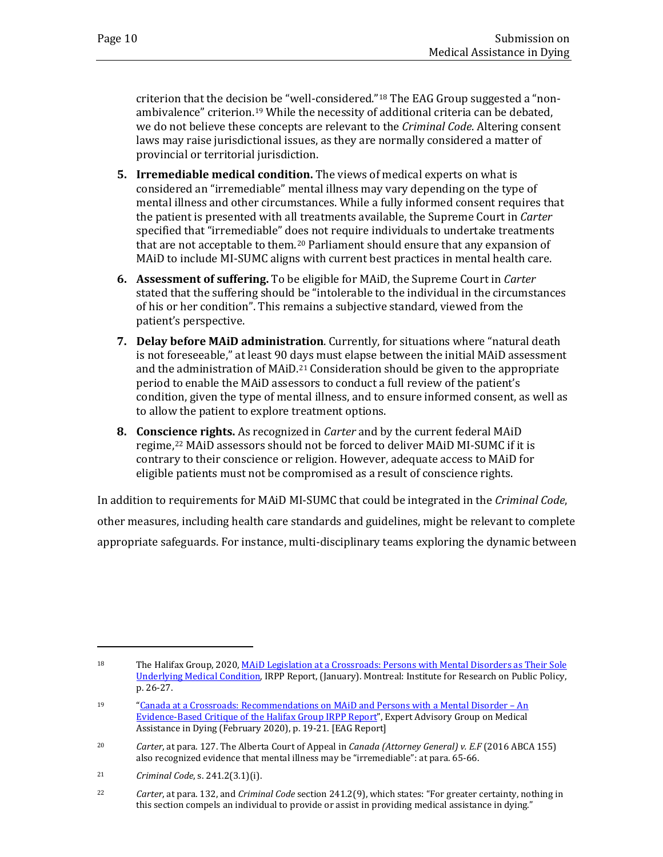criterion that the decision be "well-considered."18 The EAG Group suggested a "nonambivalence" criterion.19 While the necessity of additional criteria can be debated, we do not believe these concepts are relevant to the *Criminal Code*. Altering consent laws may raise jurisdictional issues, as they are normally considered a matter of provincial or territorial jurisdiction.

- **5. Irremediable medical condition.** The views of medical experts on what is considered an "irremediable" mental illness may vary depending on the type of mental illness and other circumstances. While a fully informed consent requires that the patient is presented with all treatments available, the Supreme Court in *Carter* specified that "irremediable" does not require individuals to undertake treatments that are not acceptable to them.20 Parliament should ensure that any expansion of MAiD to include MI-SUMC aligns with current best practices in mental health care.
- **6. Assessment of suffering.** To be eligible for MAiD, the Supreme Court in *Carter* stated that the suffering should be "intolerable to the individual in the circumstances of his or her condition". This remains a subjective standard, viewed from the patient's perspective.
- **7. Delay before MAiD administration**. Currently, for situations where "natural death is not foreseeable," at least 90 days must elapse between the initial MAiD assessment and the administration of MAiD.<sup>21</sup> Consideration should be given to the appropriate period to enable the MAiD assessors to conduct a full review of the patient's condition, given the type of mental illness, and to ensure informed consent, as well as to allow the patient to explore treatment options.
- **8. Conscience rights.** As recognized in *Carter* and by the current federal MAiD regime,22 MAiD assessors should not be forced to deliver MAiD MI-SUMC if it is contrary to their conscience or religion. However, adequate access to MAiD for eligible patients must not be compromised as a result of conscience rights.

In addition to requirements for MAiD MI-SUMC that could be integrated in the *Criminal Code*, other measures, including health care standards and guidelines, might be relevant to complete appropriate safeguards. For instance, multi-disciplinary teams exploring the dynamic between

<sup>18</sup> The Halifax Group, 2020, MAID Legislation at a Crossroads: Persons with Mental Disorders as Their Sole [Underlying Medical Condition,](https://irpp.org/research-studies/maid-legislation-at-a-crossroads-persons-with-mental-disorders-as-their-sole-underlying-medical-condition/) IRPP Report, (January). Montreal: Institute for Research on Public Policy, p. 26-27.

<sup>19</sup> ["Canada at a Crossroads: Recommendations on MAiD and Persons with a Mental Disorder – An](https://deliverypdf.ssrn.com/delivery.php?ID=733004110116087124111064067009105090052064018031086020031099064088085009092119104096124021020012098002061066026027121065121125051066001081068084096064125092086062019077122004011001126093099126103071126090074067091030072116084004111106002111005096&EXT=pdf&INDEX=TRUE)  [Evidence-Based Critique of the Halifax Group IRPP Report"](https://deliverypdf.ssrn.com/delivery.php?ID=733004110116087124111064067009105090052064018031086020031099064088085009092119104096124021020012098002061066026027121065121125051066001081068084096064125092086062019077122004011001126093099126103071126090074067091030072116084004111106002111005096&EXT=pdf&INDEX=TRUE), Expert Advisory Group on Medical Assistance in Dying (February 2020), p. 19-21. [EAG Report]

<sup>20</sup> *Carter*, at para. 127. The Alberta Court of Appeal in *Canada (Attorney General) v. E.F* (2016 ABCA 155) also recognized evidence that mental illness may be "irremediable": at para. 65-66.

<sup>21</sup> *Criminal Code*, s. 241.2(3.1)(i).

<sup>22</sup> *Carter*, at para. 132, and *Criminal Code* section 241.2(9), which states: "For greater certainty, nothing in this section compels an individual to provide or assist in providing medical assistance in dying."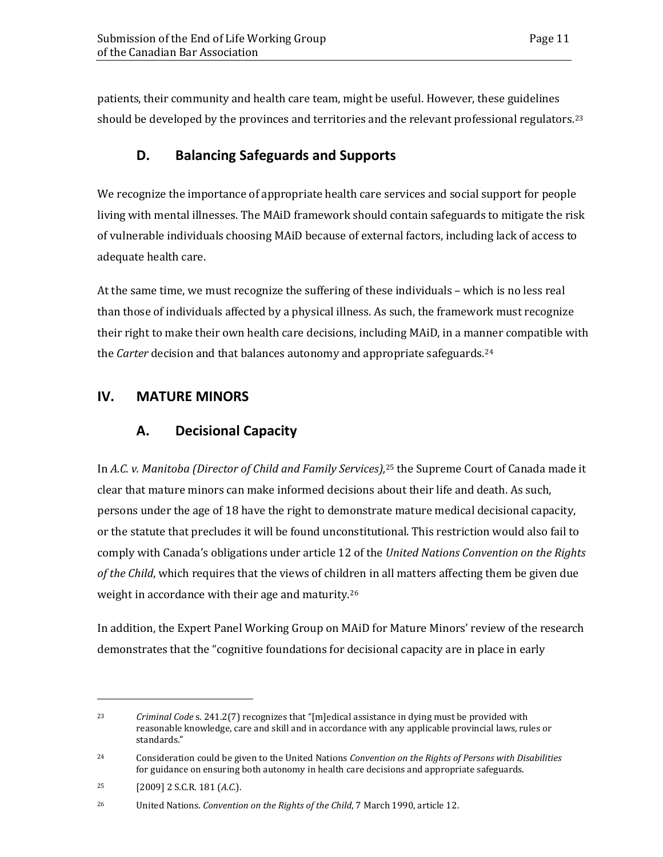patients, their community and health care team, might be useful. However, these guidelines should be developed by the provinces and territories and the relevant professional regulators.<sup>23</sup>

### **D. Balancing Safeguards and Supports**

We recognize the importance of appropriate health care services and social support for people living with mental illnesses. The MAiD framework should contain safeguards to mitigate the risk of vulnerable individuals choosing MAiD because of external factors, including lack of access to adequate health care.

At the same time, we must recognize the suffering of these individuals – which is no less real than those of individuals affected by a physical illness. As such, the framework must recognize their right to make their own health care decisions, including MAiD, in a manner compatible with the *Carter* decision and that balances autonomy and appropriate safeguards.<sup>24</sup>

#### **IV. MATURE MINORS**

## **A. Decisional Capacity**

In *A.C. v. Manitoba (Director of Child and Family Services),*<sup>25</sup> the Supreme Court of Canada made it clear that mature minors can make informed decisions about their life and death. As such, persons under the age of 18 have the right to demonstrate mature medical decisional capacity, or the statute that precludes it will be found unconstitutional. This restriction would also fail to comply with Canada's obligations under article 12 of the *United Nations Convention on the Rights of the Child*, which requires that the views of children in all matters affecting them be given due weight in accordance with their age and maturity.26

In addition, the Expert Panel Working Group on MAiD for Mature Minors' review of the research demonstrates that the "cognitive foundations for decisional capacity are in place in early

<sup>23</sup> *Criminal Code* s. 241.2(7) recognizes that "[m]edical assistance in dying must be provided with reasonable knowledge, care and skill and in accordance with any applicable provincial laws, rules or standards."

<sup>24</sup> Consideration could be given to the United Nations *Convention on the Rights of Persons with Disabilities* for guidance on ensuring both autonomy in health care decisions and appropriate safeguards.

<sup>25 [2009] 2</sup> S.C.R. 181 (*A.C.*).

<sup>26</sup> United Nations. *Convention on the Rights of the Child*, 7 March 1990, article 12.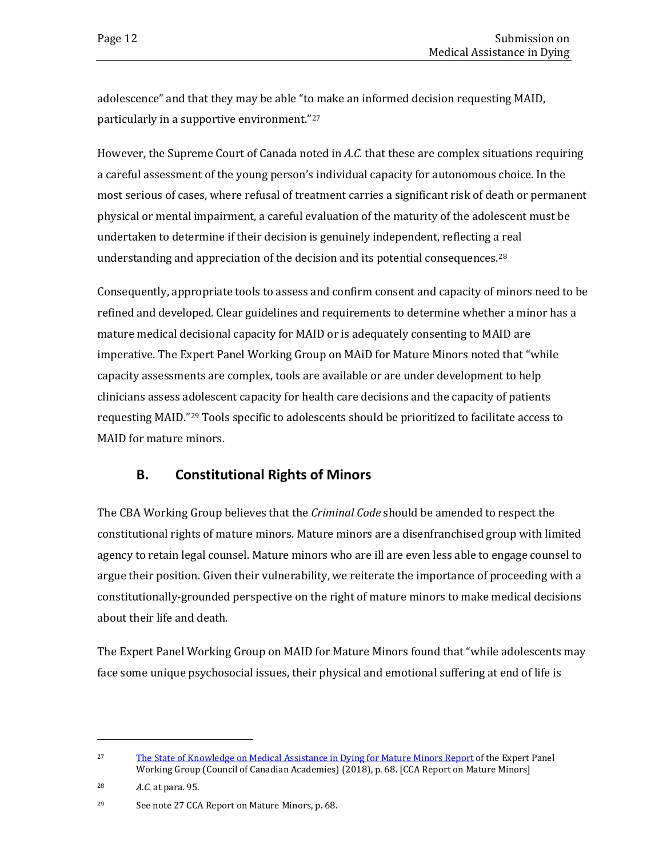adolescence" and that they may be able "to make an informed decision requesting MAID, particularly in a supportive environment."27

However, the Supreme Court of Canada noted in *A.C.* that these are complex situations requiring a careful assessment of the young person's individual capacity for autonomous choice. In the most serious of cases, where refusal of treatment carries a significant risk of death or permanent physical or mental impairment, a careful evaluation of the maturity of the adolescent must be undertaken to determine if their decision is genuinely independent, reflecting a real understanding and appreciation of the decision and its potential consequences.<sup>28</sup>

Consequently, appropriate tools to assess and confirm consent and capacity of minors need to be refined and developed. Clear guidelines and requirements to determine whether a minor has a mature medical decisional capacity for MAID or is adequately consenting to MAID are imperative. The Expert Panel Working Group on MAiD for Mature Minors noted that "while capacity assessments are complex, tools are available or are under development to help clinicians assess adolescent capacity for health care decisions and the capacity of patients requesting MAID."29 Tools specific to adolescents should be prioritized to facilitate access to MAID for mature minors.

#### **B. Constitutional Rights of Minors**

The CBA Working Group believes that the *Criminal Code* should be amended to respect the constitutional rights of mature minors. Mature minors are a disenfranchised group with limited agency to retain legal counsel. Mature minors who are ill are even less able to engage counsel to argue their position. Given their vulnerability, we reiterate the importance of proceeding with a constitutionally-grounded perspective on the right of mature minors to make medical decisions about their life and death.

The Expert Panel Working Group on MAID for Mature Minors found that "while adolescents may face some unique psychosocial issues, their physical and emotional suffering at end of life is

<sup>27</sup> The State [of Knowledge](https://cca-reports.ca/wp-content/uploads/2018/12/The-State-of-Knowledge-on-Medical-Assistance-in-Dying-for-Mature-Minors.pdf) on Medical Assistance in Dying for Mature Minors Report of the Expert Panel Working Group (Council of Canadian Academies) (2018), p. 68. [CCA Report on Mature Minors]

<sup>28</sup> *A.C.* at para. 95.

<sup>29</sup> See note 27 CCA Report on Mature Minors, p. 68.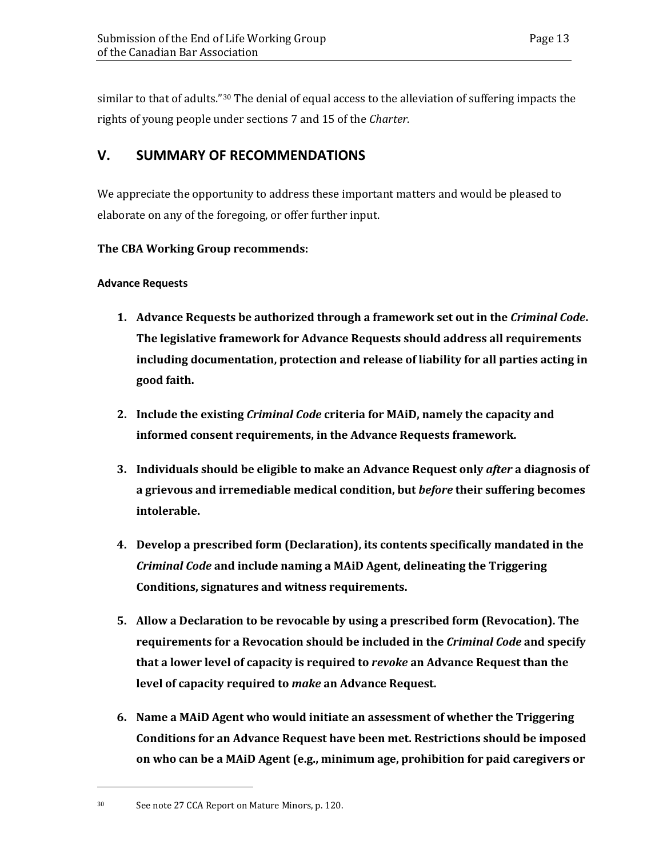similar to that of adults."<sup>30</sup> The denial of equal access to the alleviation of suffering impacts the rights of young people under sections 7 and 15 of the *Charter.*

#### **V. SUMMARY OF RECOMMENDATIONS**

We appreciate the opportunity to address these important matters and would be pleased to elaborate on any of the foregoing, or offer further input.

#### **The CBA Working Group recommends:**

#### **Advance Requests**

- **1. Advance Requests be authorized through a framework set out in the** *Criminal Code***. The legislative framework for Advance Requests should address all requirements including documentation, protection and release of liability for all parties acting in good faith.**
- **2. Include the existing** *Criminal Code* **criteria for MAiD, namely the capacity and informed consent requirements, in the Advance Requests framework.**
- **3. Individuals should be eligible to make an Advance Request only** *after* **a diagnosis of a grievous and irremediable medical condition, but** *before* **their suffering becomes intolerable.**
- **4. Develop a prescribed form (Declaration), its contents specifically mandated in the**  *Criminal Code* **and include naming a MAiD Agent, delineating the Triggering Conditions, signatures and witness requirements.**
- **5. Allow a Declaration to be revocable by using a prescribed form (Revocation). The requirements for a Revocation should be included in the** *Criminal Code* **and specify that a lower level of capacity is required to** *revoke* **an Advance Request than the level of capacity required to** *make* **an Advance Request.**
- **6. Name a MAiD Agent who would initiate an assessment of whether the Triggering Conditions for an Advance Request have been met. Restrictions should be imposed on who can be a MAiD Agent (e.g., minimum age, prohibition for paid caregivers or**

<sup>30</sup> See note 27 CCA Report on Mature Minors, p. 120.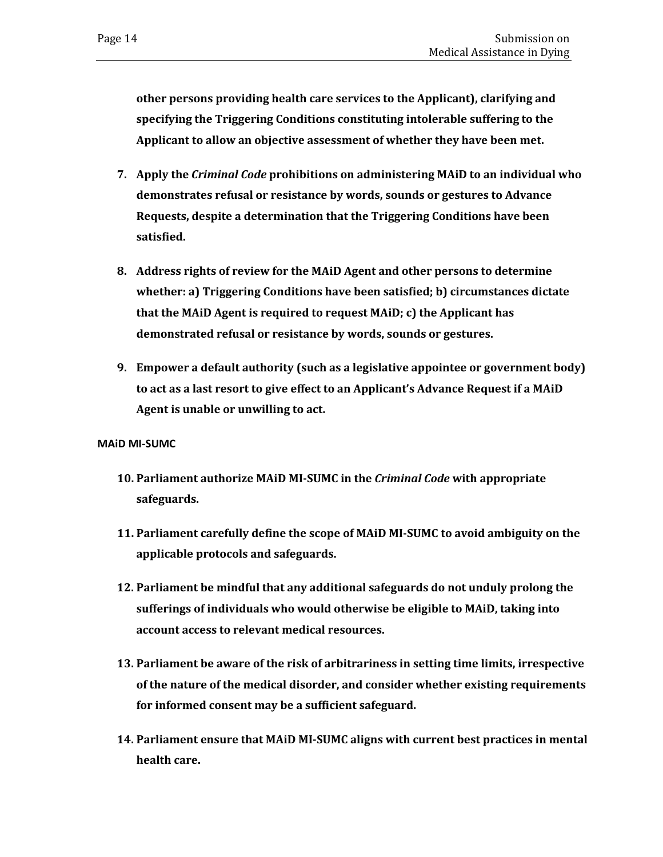**other persons providing health care services to the Applicant), clarifying and specifying the Triggering Conditions constituting intolerable suffering to the Applicant to allow an objective assessment of whether they have been met.**

- **7. Apply the** *Criminal Code* **prohibitions on administering MAiD to an individual who demonstrates refusal or resistance by words, sounds or gestures to Advance Requests, despite a determination that the Triggering Conditions have been satisfied.**
- **8. Address rights of review for the MAiD Agent and other persons to determine whether: a) Triggering Conditions have been satisfied; b) circumstances dictate that the MAiD Agent is required to request MAiD; c) the Applicant has demonstrated refusal or resistance by words, sounds or gestures.**
- **9. Empower a default authority (such as a legislative appointee or government body) to act as a last resort to give effect to an Applicant's Advance Request if a MAiD Agent is unable or unwilling to act.**

**MAiD MI-SUMC**

- **10. Parliament authorize MAiD MI-SUMC in the** *Criminal Code* **with appropriate safeguards.**
- **11. Parliament carefully define the scope of MAiD MI-SUMC to avoid ambiguity on the applicable protocols and safeguards.**
- **12. Parliament be mindful that any additional safeguards do not unduly prolong the sufferings of individuals who would otherwise be eligible to MAiD, taking into account access to relevant medical resources.**
- **13. Parliament be aware of the risk of arbitrariness in setting time limits, irrespective of the nature of the medical disorder, and consider whether existing requirements for informed consent may be a sufficient safeguard.**
- **14. Parliament ensure that MAiD MI-SUMC aligns with current best practices in mental health care.**